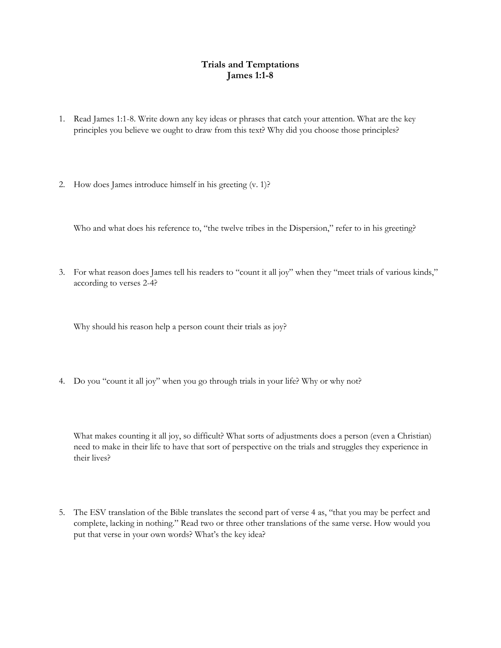## **Trials and Temptations James 1:1-8**

- 1. Read James 1:1-8. Write down any key ideas or phrases that catch your attention. What are the key principles you believe we ought to draw from this text? Why did you choose those principles?
- 2. How does James introduce himself in his greeting (v. 1)?

Who and what does his reference to, "the twelve tribes in the Dispersion," refer to in his greeting?

3. For what reason does James tell his readers to "count it all joy" when they "meet trials of various kinds," according to verses 2-4?

Why should his reason help a person count their trials as joy?

4. Do you "count it all joy" when you go through trials in your life? Why or why not?

What makes counting it all joy, so difficult? What sorts of adjustments does a person (even a Christian) need to make in their life to have that sort of perspective on the trials and struggles they experience in their lives?

5. The ESV translation of the Bible translates the second part of verse 4 as, "that you may be perfect and complete, lacking in nothing." Read two or three other translations of the same verse. How would you put that verse in your own words? What's the key idea?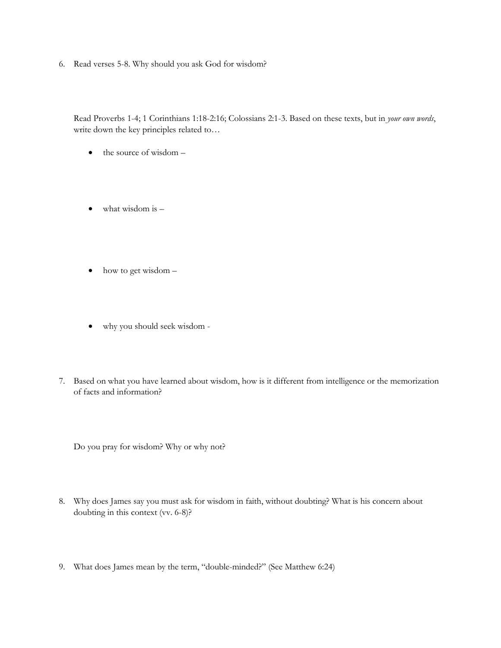6. Read verses 5-8. Why should you ask God for wisdom?

Read Proverbs 1-4; 1 Corinthians 1:18-2:16; Colossians 2:1-3. Based on these texts, but in *your own words*, write down the key principles related to…

- $\bullet$  the source of wisdom  $-$
- $\bullet$  what wisdom is  $-$
- how to get wisdom –
- why you should seek wisdom -
- 7. Based on what you have learned about wisdom, how is it different from intelligence or the memorization of facts and information?

Do you pray for wisdom? Why or why not?

- 8. Why does James say you must ask for wisdom in faith, without doubting? What is his concern about doubting in this context (vv. 6-8)?
- 9. What does James mean by the term, "double-minded?" (See Matthew 6:24)